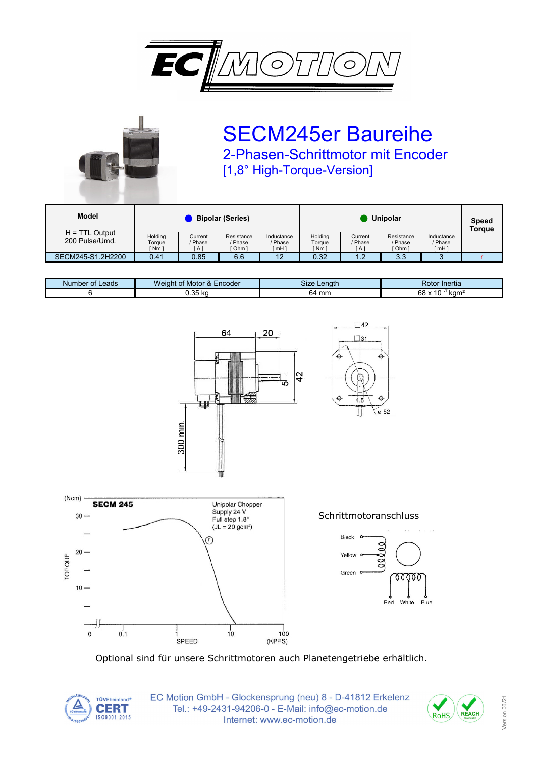



## SECM245er Baureihe 2-Phasen-Schrittmotor mit Encoder [1,8° High-Torque-Version]

| <b>Model</b>                       | <b>Bipolar (Series)</b>                           |                         |                              |                           | Unipolar                    |                        |                                  |                            | <b>Speed</b><br><b>Torque</b> |
|------------------------------------|---------------------------------------------------|-------------------------|------------------------------|---------------------------|-----------------------------|------------------------|----------------------------------|----------------------------|-------------------------------|
| $H = TTL$ Output<br>200 Pulse/Umd. | Holding<br>Torque<br><sup>I</sup> Nm <sub>1</sub> | Current<br>Phase<br>[A] | Resistance<br>Phase<br>Ohm 1 | Inductance<br>Phase<br>mH | Holdina<br>Toraue<br>' Nm ì | Current<br>Phase<br>[A | Resistance<br>/ Phase<br>i Ohm i | Inductance<br>Phase<br>mH1 |                               |
| SECM245-S1.2H2200                  | 0.41                                              | 0.85                    | 6.6                          | 12                        | 0.32                        | 1.2                    | 3.3                              | $\sim$                     |                               |

| Leads<br>Number<br>nt. | $\cdots$<br>≞ncoder<br>Motor<br>Weiant<br>ΩI<br>$\alpha$ | n.<br>Lenatr<br>Size | Inertia<br>Rotor                                                          |
|------------------------|----------------------------------------------------------|----------------------|---------------------------------------------------------------------------|
|                        | 1 2 E<br>J.35 ka                                         | 64<br>mm             | co<br>ı<br>-<br><i>I<sub>sm</sub></i><br>16<br>oo<br>NUIT<br>$\mathbf{A}$ |



Optional sind für unsere Schrittmotoren auch Planetengetriebe erhältlich.



EC Motion GmbH - Glockensprung (neu) 8 - D-41812 Erkelenz Tel.: +49-2431-94206-0 - E-Mail: info@ec-motion.de Internet: www.ec-motion.de